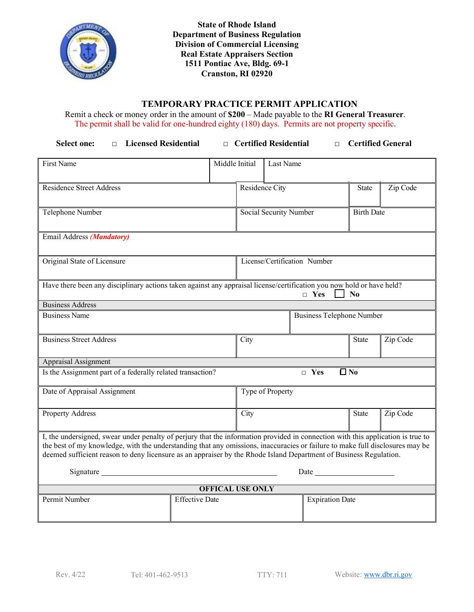

**State of Rhode Island Department of Business Regulation Division of Commercial Licensing Real Estate Appraisers Section 1511 Pontiac Ave, Bldg. 69-1 Cranston, RI 02920**

## **TEMPORARY PRACTICE PERMIT APPLICATION**

Remit a check or money order in the amount of **\$200** – Made payable to the **RI General Treasurer**. The permit shall be valid for one-hundred eighty (180) days. Permits are not property specific.

| <b>Licensed Residential</b><br><b>Select one:</b><br>$\Box$                                                                                                                                                                                                                                                                                                                          |                       |                                  | □ Certified Residential      | $\Box$                 |                   | <b>Certified General</b> |  |
|--------------------------------------------------------------------------------------------------------------------------------------------------------------------------------------------------------------------------------------------------------------------------------------------------------------------------------------------------------------------------------------|-----------------------|----------------------------------|------------------------------|------------------------|-------------------|--------------------------|--|
| First Name                                                                                                                                                                                                                                                                                                                                                                           | Middle Initial        |                                  | Last Name                    |                        |                   |                          |  |
| <b>Residence Street Address</b>                                                                                                                                                                                                                                                                                                                                                      |                       |                                  | Residence City               |                        | <b>State</b>      | Zip Code                 |  |
| Telephone Number                                                                                                                                                                                                                                                                                                                                                                     |                       |                                  | Social Security Number       |                        | <b>Birth Date</b> |                          |  |
| Email Address (Mandatory)                                                                                                                                                                                                                                                                                                                                                            |                       |                                  |                              |                        |                   |                          |  |
| Original State of Licensure                                                                                                                                                                                                                                                                                                                                                          |                       |                                  | License/Certification Number |                        |                   |                          |  |
| Have there been any disciplinary actions taken against any appraisal license/certification you now hold or have held?<br>$\Box$ Yes<br>$\bf No$                                                                                                                                                                                                                                      |                       |                                  |                              |                        |                   |                          |  |
| <b>Business Address</b>                                                                                                                                                                                                                                                                                                                                                              |                       |                                  |                              |                        |                   |                          |  |
| <b>Business Name</b>                                                                                                                                                                                                                                                                                                                                                                 |                       | <b>Business Telephone Number</b> |                              |                        |                   |                          |  |
| <b>Business Street Address</b>                                                                                                                                                                                                                                                                                                                                                       |                       | City                             |                              |                        | <b>State</b>      | Zip Code                 |  |
| Appraisal Assignment                                                                                                                                                                                                                                                                                                                                                                 |                       |                                  |                              |                        |                   |                          |  |
| $\Box$ No<br>Is the Assignment part of a federally related transaction?<br>$\Box$ Yes                                                                                                                                                                                                                                                                                                |                       |                                  |                              |                        |                   |                          |  |
| Date of Appraisal Assignment                                                                                                                                                                                                                                                                                                                                                         |                       | Type of Property                 |                              |                        |                   |                          |  |
| Property Address                                                                                                                                                                                                                                                                                                                                                                     |                       | City                             |                              | State                  | Zip Code          |                          |  |
| I, the undersigned, swear under penalty of perjury that the information provided in connection with this application is true to<br>the best of my knowledge, with the understanding that any omissions, inaccuracies or failure to make full disclosures may be<br>deemed sufficient reason to deny licensure as an appraiser by the Rhode Island Department of Business Regulation. |                       |                                  |                              |                        |                   |                          |  |
|                                                                                                                                                                                                                                                                                                                                                                                      |                       |                                  |                              |                        |                   |                          |  |
| <b>OFFICAL USE ONLY</b>                                                                                                                                                                                                                                                                                                                                                              |                       |                                  |                              |                        |                   |                          |  |
| Permit Number                                                                                                                                                                                                                                                                                                                                                                        | <b>Effective Date</b> |                                  |                              | <b>Expiration Date</b> |                   |                          |  |